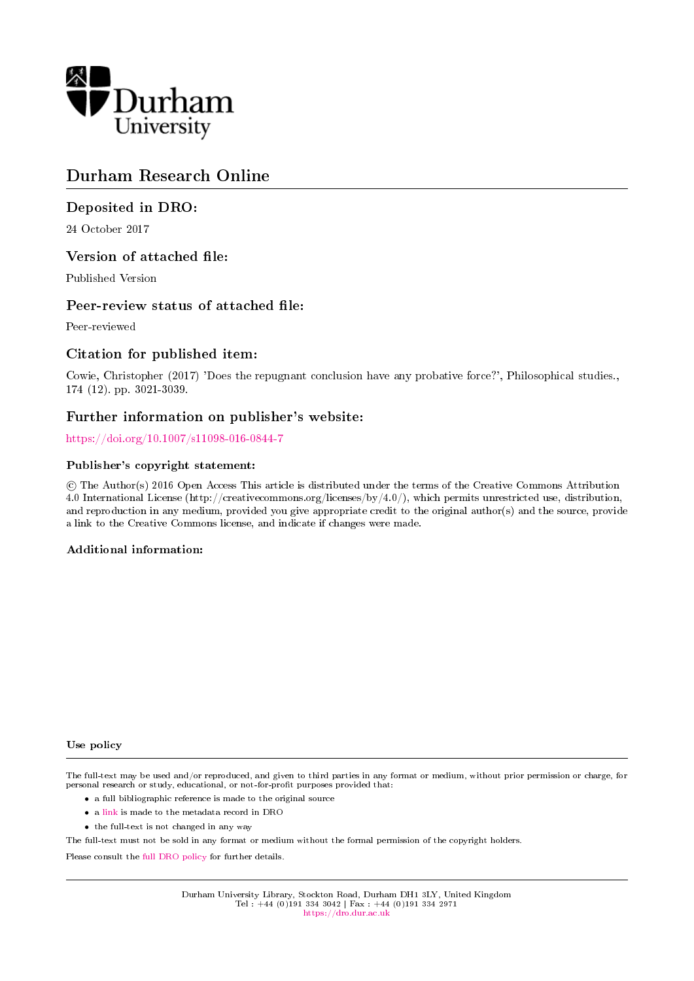

# Durham Research Online

## Deposited in DRO:

24 October 2017

### Version of attached file:

Published Version

### Peer-review status of attached file:

Peer-reviewed

### Citation for published item:

Cowie, Christopher (2017) 'Does the repugnant conclusion have any probative force?', Philosophical studies., 174 (12). pp. 3021-3039.

## Further information on publisher's website:

<https://doi.org/10.1007/s11098-016-0844-7>

### Publisher's copyright statement:

 c The Author(s) 2016 Open Access This article is distributed under the terms of the Creative Commons Attribution 4.0 International License (http://creativecommons.org/licenses/by/4.0/), which permits unrestricted use, distribution, and reproduction in any medium, provided you give appropriate credit to the original author(s) and the source, provide a link to the Creative Commons license, and indicate if changes were made.

### Additional information:

#### Use policy

The full-text may be used and/or reproduced, and given to third parties in any format or medium, without prior permission or charge, for personal research or study, educational, or not-for-profit purposes provided that:

- a full bibliographic reference is made to the original source
- a [link](http://dro.dur.ac.uk/23304/) is made to the metadata record in DRO
- the full-text is not changed in any way

The full-text must not be sold in any format or medium without the formal permission of the copyright holders.

Please consult the [full DRO policy](https://dro.dur.ac.uk/policies/usepolicy.pdf) for further details.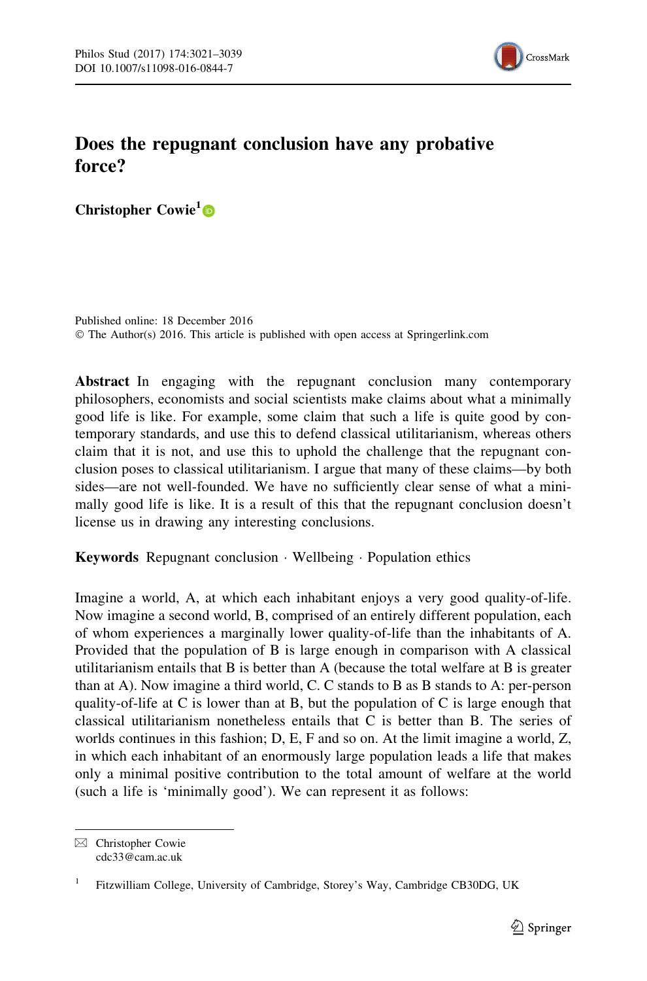

## Does the repugnant conclusion have any probative force?

Christopher Cowie<sup>1</sup><sup>D</sup>

Published online: 18 December 2016 © The Author(s) 2016. This article is published with open access at Springerlink.com

Abstract In engaging with the repugnant conclusion many contemporary philosophers, economists and social scientists make claims about what a minimally good life is like. For example, some claim that such a life is quite good by contemporary standards, and use this to defend classical utilitarianism, whereas others claim that it is not, and use this to uphold the challenge that the repugnant conclusion poses to classical utilitarianism. I argue that many of these claims—by both sides—are not well-founded. We have no sufficiently clear sense of what a minimally good life is like. It is a result of this that the repugnant conclusion doesn't license us in drawing any interesting conclusions.

Keywords Repugnant conclusion - Wellbeing - Population ethics

Imagine a world, A, at which each inhabitant enjoys a very good quality-of-life. Now imagine a second world, B, comprised of an entirely different population, each of whom experiences a marginally lower quality-of-life than the inhabitants of A. Provided that the population of B is large enough in comparison with A classical utilitarianism entails that B is better than A (because the total welfare at B is greater than at A). Now imagine a third world, C. C stands to B as B stands to A: per-person quality-of-life at C is lower than at B, but the population of C is large enough that classical utilitarianism nonetheless entails that C is better than B. The series of worlds continues in this fashion; D, E, F and so on. At the limit imagine a world, Z, in which each inhabitant of an enormously large population leads a life that makes only a minimal positive contribution to the total amount of welfare at the world (such a life is 'minimally good'). We can represent it as follows:

 $\boxtimes$  Christopher Cowie cdc33@cam.ac.uk

<sup>&</sup>lt;sup>1</sup> Fitzwilliam College, University of Cambridge, Storey's Way, Cambridge CB30DG, UK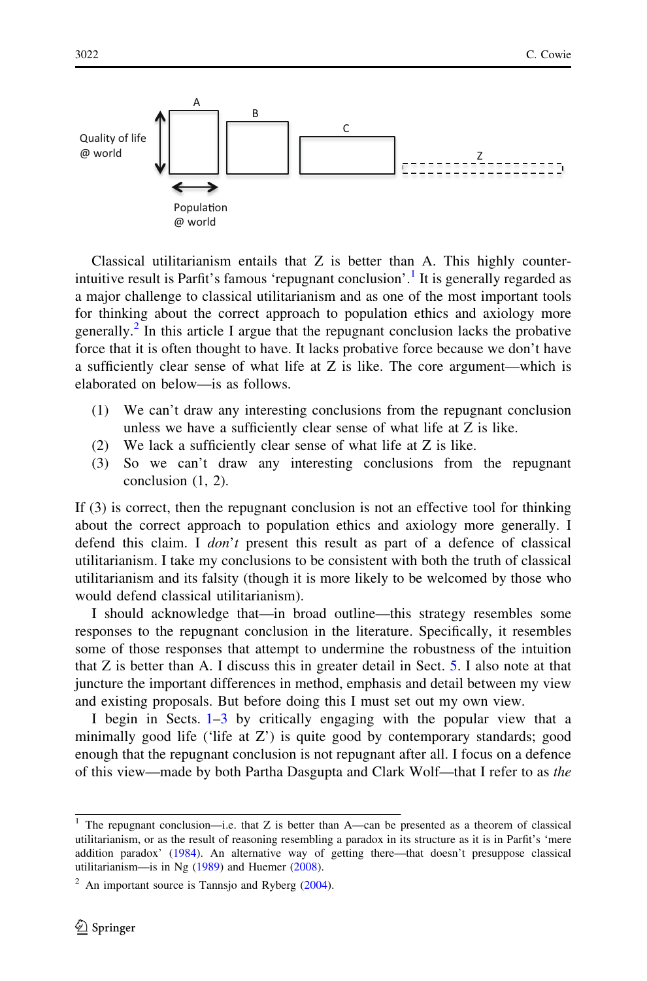

Classical utilitarianism entails that Z is better than A. This highly counterintuitive result is Parfit's famous 'repugnant conclusion'.<sup>1</sup> It is generally regarded as a major challenge to classical utilitarianism and as one of the most important tools for thinking about the correct approach to population ethics and axiology more generally.<sup>2</sup> In this article I argue that the repugnant conclusion lacks the probative force that it is often thought to have. It lacks probative force because we don't have a sufficiently clear sense of what life at  $Z$  is like. The core argument—which is elaborated on below—is as follows.

- (1) We can't draw any interesting conclusions from the repugnant conclusion unless we have a sufficiently clear sense of what life at Z is like.
- (2) We lack a sufficiently clear sense of what life at Z is like.
- (3) So we can't draw any interesting conclusions from the repugnant conclusion (1, 2).

If (3) is correct, then the repugnant conclusion is not an effective tool for thinking about the correct approach to population ethics and axiology more generally. I defend this claim. I don't present this result as part of a defence of classical utilitarianism. I take my conclusions to be consistent with both the truth of classical utilitarianism and its falsity (though it is more likely to be welcomed by those who would defend classical utilitarianism).

I should acknowledge that—in broad outline—this strategy resembles some responses to the repugnant conclusion in the literature. Specifically, it resembles some of those responses that attempt to undermine the robustness of the intuition that Z is better than A. I discuss this in greater detail in Sect. [5.](#page-14-0) I also note at that juncture the important differences in method, emphasis and detail between my view and existing proposals. But before doing this I must set out my own view.

I begin in Sects. [1–](#page-3-0)[3](#page-10-0) by critically engaging with the popular view that a minimally good life ('life at  $Z'$ ) is quite good by contemporary standards; good enough that the repugnant conclusion is not repugnant after all. I focus on a defence of this view—made by both Partha Dasgupta and Clark Wolf—that I refer to as the

<sup>&</sup>lt;sup>1</sup> The repugnant conclusion—i.e. that Z is better than A—can be presented as a theorem of classical utilitarianism, or as the result of reasoning resembling a paradox in its structure as it is in Parfit's 'mere addition paradox' ([1984\)](#page-19-0). An alternative way of getting there—that doesn't presuppose classical utilitarianism—is in Ng [\(1989](#page-19-0)) and Huemer ([2008\)](#page-18-0).

 $2$  An important source is Tannsjo and Ryberg ([2004\)](#page-19-0).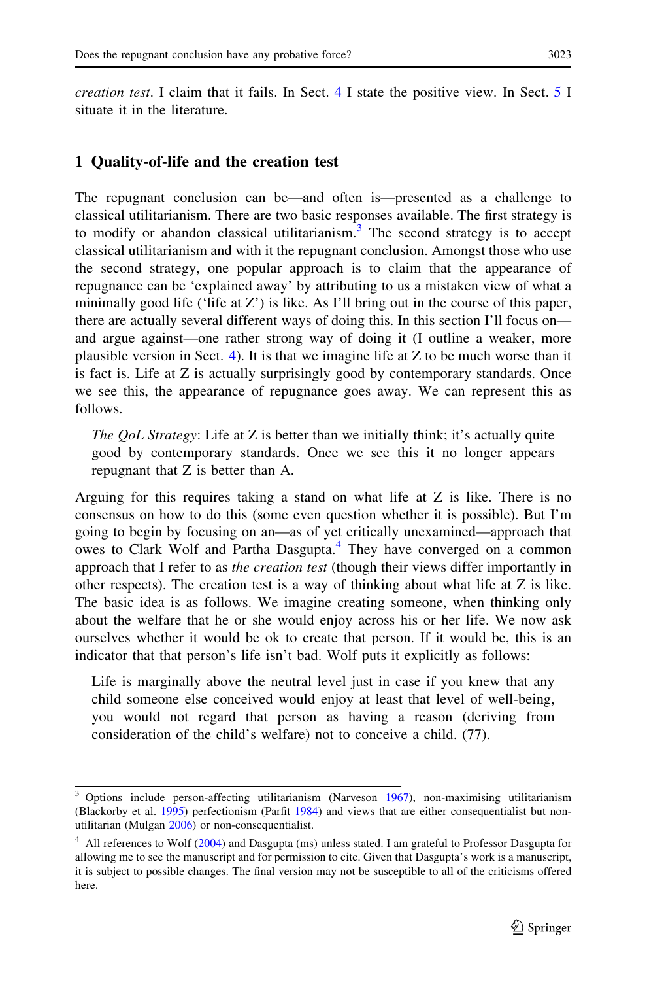<span id="page-3-0"></span>*creation test.* I claim that it fails. In Sect. [4](#page-11-0) I state the positive view. In Sect. [5](#page-14-0) I situate it in the literature.

#### 1 Quality-of-life and the creation test

The repugnant conclusion can be—and often is—presented as a challenge to classical utilitarianism. There are two basic responses available. The first strategy is to modify or abandon classical utilitarianism.<sup>3</sup> The second strategy is to accept classical utilitarianism and with it the repugnant conclusion. Amongst those who use the second strategy, one popular approach is to claim that the appearance of repugnance can be 'explained away' by attributing to us a mistaken view of what a minimally good life ('life at Z') is like. As I'll bring out in the course of this paper, there are actually several different ways of doing this. In this section I'll focus on and argue against—one rather strong way of doing it (I outline a weaker, more plausible version in Sect. [4](#page-11-0)). It is that we imagine life at  $Z$  to be much worse than it is fact is. Life at Z is actually surprisingly good by contemporary standards. Once we see this, the appearance of repugnance goes away. We can represent this as follows.

The *QoL* Strategy: Life at Z is better than we initially think; it's actually quite good by contemporary standards. Once we see this it no longer appears repugnant that Z is better than A.

Arguing for this requires taking a stand on what life at Z is like. There is no consensus on how to do this (some even question whether it is possible). But I'm going to begin by focusing on an—as of yet critically unexamined—approach that owes to Clark Wolf and Partha Dasgupta.<sup>4</sup> They have converged on a common approach that I refer to as the creation test (though their views differ importantly in other respects). The creation test is a way of thinking about what life at  $Z$  is like. The basic idea is as follows. We imagine creating someone, when thinking only about the welfare that he or she would enjoy across his or her life. We now ask ourselves whether it would be ok to create that person. If it would be, this is an indicator that that person's life isn't bad. Wolf puts it explicitly as follows:

Life is marginally above the neutral level just in case if you knew that any child someone else conceived would enjoy at least that level of well-being, you would not regard that person as having a reason (deriving from consideration of the child's welfare) not to conceive a child. (77).

<sup>&</sup>lt;sup>3</sup> Options include person-affecting utilitarianism (Narveson [1967\)](#page-19-0), non-maximising utilitarianism (Blackorby et al. [1995](#page-18-0)) perfectionism (Parfit [1984](#page-19-0)) and views that are either consequentialist but nonutilitarian (Mulgan [2006\)](#page-19-0) or non-consequentialist.

<sup>&</sup>lt;sup>4</sup> All references to Wolf ([2004\)](#page-19-0) and Dasgupta (ms) unless stated. I am grateful to Professor Dasgupta for allowing me to see the manuscript and for permission to cite. Given that Dasgupta's work is a manuscript, it is subject to possible changes. The final version may not be susceptible to all of the criticisms offered here.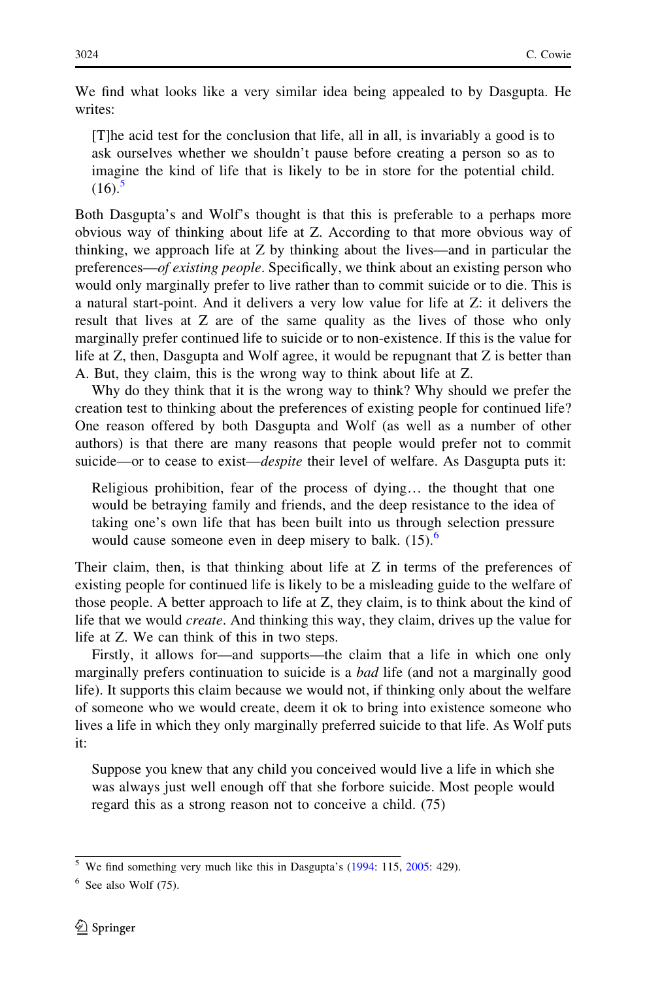We find what looks like a very similar idea being appealed to by Dasgupta. He writes:

[T]he acid test for the conclusion that life, all in all, is invariably a good is to ask ourselves whether we shouldn't pause before creating a person so as to imagine the kind of life that is likely to be in store for the potential child.  $(16).$ <sup>5</sup>

Both Dasgupta's and Wolf's thought is that this is preferable to a perhaps more obvious way of thinking about life at Z. According to that more obvious way of thinking, we approach life at Z by thinking about the lives—and in particular the preferences—of existing people. Specifically, we think about an existing person who would only marginally prefer to live rather than to commit suicide or to die. This is a natural start-point. And it delivers a very low value for life at Z: it delivers the result that lives at Z are of the same quality as the lives of those who only marginally prefer continued life to suicide or to non-existence. If this is the value for life at Z, then, Dasgupta and Wolf agree, it would be repugnant that Z is better than A. But, they claim, this is the wrong way to think about life at Z.

Why do they think that it is the wrong way to think? Why should we prefer the creation test to thinking about the preferences of existing people for continued life? One reason offered by both Dasgupta and Wolf (as well as a number of other authors) is that there are many reasons that people would prefer not to commit suicide—or to cease to exist—*despite* their level of welfare. As Dasgupta puts it:

Religious prohibition, fear of the process of dying… the thought that one would be betraying family and friends, and the deep resistance to the idea of taking one's own life that has been built into us through selection pressure would cause someone even in deep misery to balk.  $(15)$ .<sup>6</sup>

Their claim, then, is that thinking about life at Z in terms of the preferences of existing people for continued life is likely to be a misleading guide to the welfare of those people. A better approach to life at Z, they claim, is to think about the kind of life that we would create. And thinking this way, they claim, drives up the value for life at Z. We can think of this in two steps.

Firstly, it allows for—and supports—the claim that a life in which one only marginally prefers continuation to suicide is a *bad* life (and not a marginally good life). It supports this claim because we would not, if thinking only about the welfare of someone who we would create, deem it ok to bring into existence someone who lives a life in which they only marginally preferred suicide to that life. As Wolf puts it:

Suppose you knew that any child you conceived would live a life in which she was always just well enough off that she forbore suicide. Most people would regard this as a strong reason not to conceive a child. (75)

 $5$  We find something very much like this in Dasgupta's ([1994](#page-18-0): 115, [2005:](#page-18-0) 429).

 $6$  See also Wolf  $(75)$ .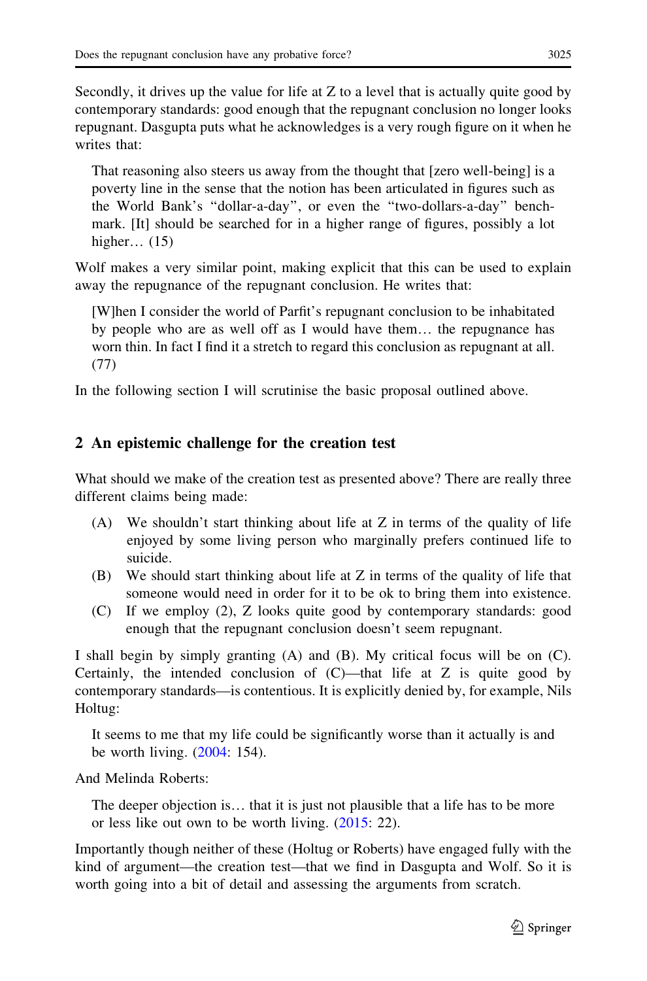<span id="page-5-0"></span>Secondly, it drives up the value for life at Z to a level that is actually quite good by contemporary standards: good enough that the repugnant conclusion no longer looks repugnant. Dasgupta puts what he acknowledges is a very rough figure on it when he writes that:

That reasoning also steers us away from the thought that [zero well-being] is a poverty line in the sense that the notion has been articulated in figures such as the World Bank's ''dollar-a-day'', or even the ''two-dollars-a-day'' benchmark. [It] should be searched for in a higher range of figures, possibly a lot higher… (15)

Wolf makes a very similar point, making explicit that this can be used to explain away the repugnance of the repugnant conclusion. He writes that:

[W]hen I consider the world of Parfit's repugnant conclusion to be inhabitated by people who are as well off as I would have them… the repugnance has worn thin. In fact I find it a stretch to regard this conclusion as repugnant at all. (77)

In the following section I will scrutinise the basic proposal outlined above.

### 2 An epistemic challenge for the creation test

What should we make of the creation test as presented above? There are really three different claims being made:

- (A) We shouldn't start thinking about life at Z in terms of the quality of life enjoyed by some living person who marginally prefers continued life to suicide.
- (B) We should start thinking about life at Z in terms of the quality of life that someone would need in order for it to be ok to bring them into existence.
- (C) If we employ (2), Z looks quite good by contemporary standards: good enough that the repugnant conclusion doesn't seem repugnant.

I shall begin by simply granting (A) and (B). My critical focus will be on (C). Certainly, the intended conclusion of  $(C)$ —that life at Z is quite good by contemporary standards—is contentious. It is explicitly denied by, for example, Nils Holtug:

It seems to me that my life could be significantly worse than it actually is and be worth living. [\(2004](#page-18-0): 154).

And Melinda Roberts:

The deeper objection is… that it is just not plausible that a life has to be more or less like out own to be worth living. [\(2015](#page-19-0): 22).

Importantly though neither of these (Holtug or Roberts) have engaged fully with the kind of argument—the creation test—that we find in Dasgupta and Wolf. So it is worth going into a bit of detail and assessing the arguments from scratch.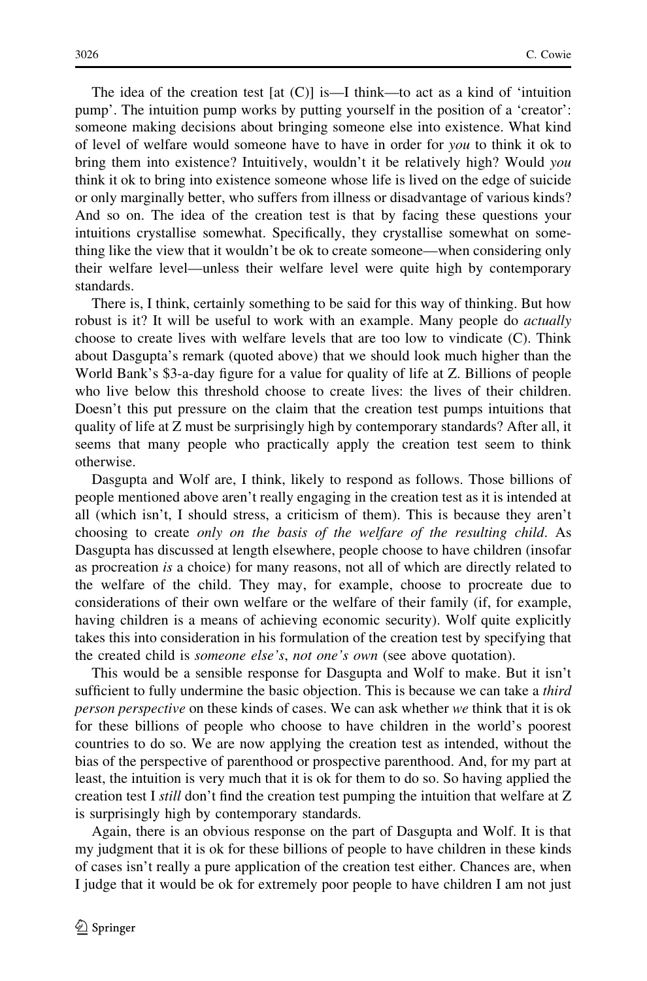The idea of the creation test  $[at (C)]$  is—I think—to act as a kind of 'intuition pump'. The intuition pump works by putting yourself in the position of a 'creator': someone making decisions about bringing someone else into existence. What kind of level of welfare would someone have to have in order for you to think it ok to bring them into existence? Intuitively, wouldn't it be relatively high? Would you think it ok to bring into existence someone whose life is lived on the edge of suicide or only marginally better, who suffers from illness or disadvantage of various kinds? And so on. The idea of the creation test is that by facing these questions your intuitions crystallise somewhat. Specifically, they crystallise somewhat on something like the view that it wouldn't be ok to create someone—when considering only their welfare level—unless their welfare level were quite high by contemporary standards.

There is, I think, certainly something to be said for this way of thinking. But how robust is it? It will be useful to work with an example. Many people do *actually* choose to create lives with welfare levels that are too low to vindicate (C). Think about Dasgupta's remark (quoted above) that we should look much higher than the World Bank's \$3-a-day figure for a value for quality of life at Z. Billions of people who live below this threshold choose to create lives: the lives of their children. Doesn't this put pressure on the claim that the creation test pumps intuitions that quality of life at Z must be surprisingly high by contemporary standards? After all, it seems that many people who practically apply the creation test seem to think otherwise.

Dasgupta and Wolf are, I think, likely to respond as follows. Those billions of people mentioned above aren't really engaging in the creation test as it is intended at all (which isn't, I should stress, a criticism of them). This is because they aren't choosing to create only on the basis of the welfare of the resulting child. As Dasgupta has discussed at length elsewhere, people choose to have children (insofar as procreation is a choice) for many reasons, not all of which are directly related to the welfare of the child. They may, for example, choose to procreate due to considerations of their own welfare or the welfare of their family (if, for example, having children is a means of achieving economic security). Wolf quite explicitly takes this into consideration in his formulation of the creation test by specifying that the created child is *someone else's*, *not one's own* (see above quotation).

This would be a sensible response for Dasgupta and Wolf to make. But it isn't sufficient to fully undermine the basic objection. This is because we can take a *third* person perspective on these kinds of cases. We can ask whether we think that it is ok for these billions of people who choose to have children in the world's poorest countries to do so. We are now applying the creation test as intended, without the bias of the perspective of parenthood or prospective parenthood. And, for my part at least, the intuition is very much that it is ok for them to do so. So having applied the creation test I still don't find the creation test pumping the intuition that welfare at Z is surprisingly high by contemporary standards.

Again, there is an obvious response on the part of Dasgupta and Wolf. It is that my judgment that it is ok for these billions of people to have children in these kinds of cases isn't really a pure application of the creation test either. Chances are, when I judge that it would be ok for extremely poor people to have children I am not just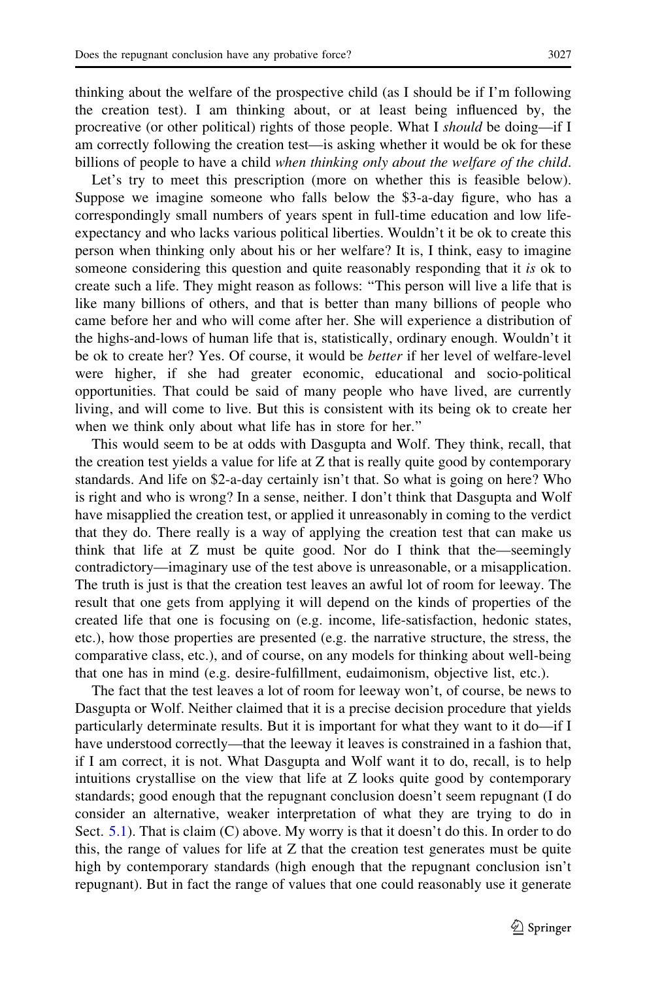thinking about the welfare of the prospective child (as I should be if I'm following the creation test). I am thinking about, or at least being influenced by, the procreative (or other political) rights of those people. What I should be doing—if I am correctly following the creation test—is asking whether it would be ok for these billions of people to have a child when thinking only about the welfare of the child.

Let's try to meet this prescription (more on whether this is feasible below). Suppose we imagine someone who falls below the \$3-a-day figure, who has a correspondingly small numbers of years spent in full-time education and low lifeexpectancy and who lacks various political liberties. Wouldn't it be ok to create this person when thinking only about his or her welfare? It is, I think, easy to imagine someone considering this question and quite reasonably responding that it is ok to create such a life. They might reason as follows: ''This person will live a life that is like many billions of others, and that is better than many billions of people who came before her and who will come after her. She will experience a distribution of the highs-and-lows of human life that is, statistically, ordinary enough. Wouldn't it be ok to create her? Yes. Of course, it would be better if her level of welfare-level were higher, if she had greater economic, educational and socio-political opportunities. That could be said of many people who have lived, are currently living, and will come to live. But this is consistent with its being ok to create her when we think only about what life has in store for her.''

This would seem to be at odds with Dasgupta and Wolf. They think, recall, that the creation test yields a value for life at Z that is really quite good by contemporary standards. And life on \$2-a-day certainly isn't that. So what is going on here? Who is right and who is wrong? In a sense, neither. I don't think that Dasgupta and Wolf have misapplied the creation test, or applied it unreasonably in coming to the verdict that they do. There really is a way of applying the creation test that can make us think that life at Z must be quite good. Nor do I think that the—seemingly contradictory—imaginary use of the test above is unreasonable, or a misapplication. The truth is just is that the creation test leaves an awful lot of room for leeway. The result that one gets from applying it will depend on the kinds of properties of the created life that one is focusing on (e.g. income, life-satisfaction, hedonic states, etc.), how those properties are presented (e.g. the narrative structure, the stress, the comparative class, etc.), and of course, on any models for thinking about well-being that one has in mind (e.g. desire-fulfillment, eudaimonism, objective list, etc.).

The fact that the test leaves a lot of room for leeway won't, of course, be news to Dasgupta or Wolf. Neither claimed that it is a precise decision procedure that yields particularly determinate results. But it is important for what they want to it do—if I have understood correctly—that the leeway it leaves is constrained in a fashion that, if I am correct, it is not. What Dasgupta and Wolf want it to do, recall, is to help intuitions crystallise on the view that life at Z looks quite good by contemporary standards; good enough that the repugnant conclusion doesn't seem repugnant (I do consider an alternative, weaker interpretation of what they are trying to do in Sect. [5.1\)](#page-15-0). That is claim (C) above. My worry is that it doesn't do this. In order to do this, the range of values for life at Z that the creation test generates must be quite high by contemporary standards (high enough that the repugnant conclusion isn't repugnant). But in fact the range of values that one could reasonably use it generate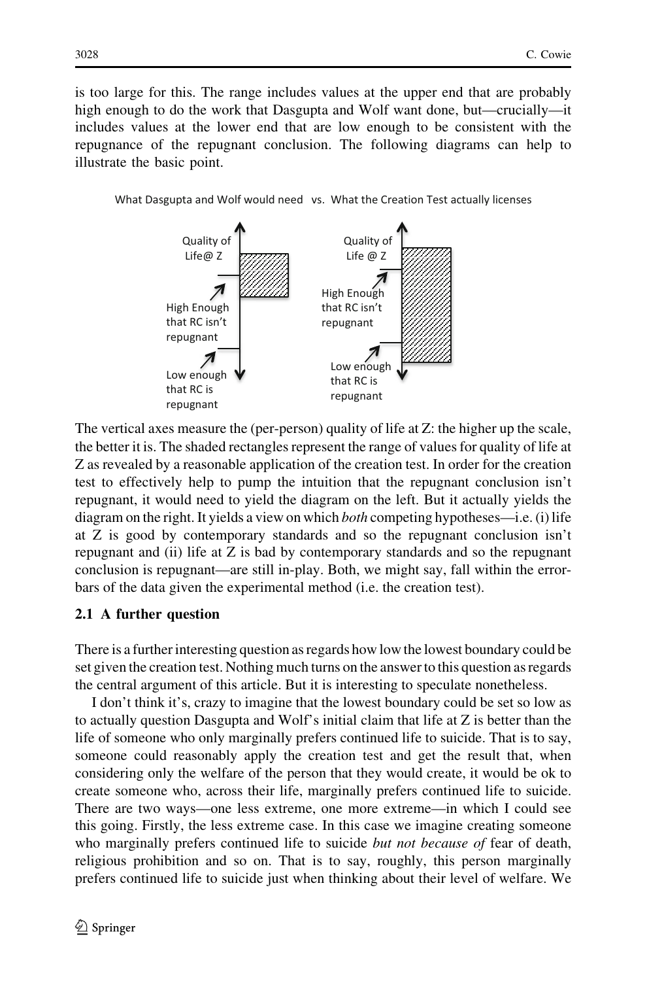is too large for this. The range includes values at the upper end that are probably high enough to do the work that Dasgupta and Wolf want done, but—crucially—it includes values at the lower end that are low enough to be consistent with the repugnance of the repugnant conclusion. The following diagrams can help to illustrate the basic point.

What Dasgupta and Wolf would need vs. What the Creation Test actually licenses



The vertical axes measure the (per-person) quality of life at Z: the higher up the scale, the better it is. The shaded rectangles represent the range of values for quality of life at Z as revealed by a reasonable application of the creation test. In order for the creation test to effectively help to pump the intuition that the repugnant conclusion isn't repugnant, it would need to yield the diagram on the left. But it actually yields the diagram on the right. It yields a view on which both competing hypotheses—i.e. (i) life at Z is good by contemporary standards and so the repugnant conclusion isn't repugnant and (ii) life at Z is bad by contemporary standards and so the repugnant conclusion is repugnant—are still in-play. Both, we might say, fall within the errorbars of the data given the experimental method (i.e. the creation test).

#### 2.1 A further question

There is a further interesting question as regards how low the lowest boundary could be set given the creation test. Nothing much turns on the answer to this question as regards the central argument of this article. But it is interesting to speculate nonetheless.

I don't think it's, crazy to imagine that the lowest boundary could be set so low as to actually question Dasgupta and Wolf's initial claim that life at Z is better than the life of someone who only marginally prefers continued life to suicide. That is to say, someone could reasonably apply the creation test and get the result that, when considering only the welfare of the person that they would create, it would be ok to create someone who, across their life, marginally prefers continued life to suicide. There are two ways—one less extreme, one more extreme—in which I could see this going. Firstly, the less extreme case. In this case we imagine creating someone who marginally prefers continued life to suicide *but not because of* fear of death, religious prohibition and so on. That is to say, roughly, this person marginally prefers continued life to suicide just when thinking about their level of welfare. We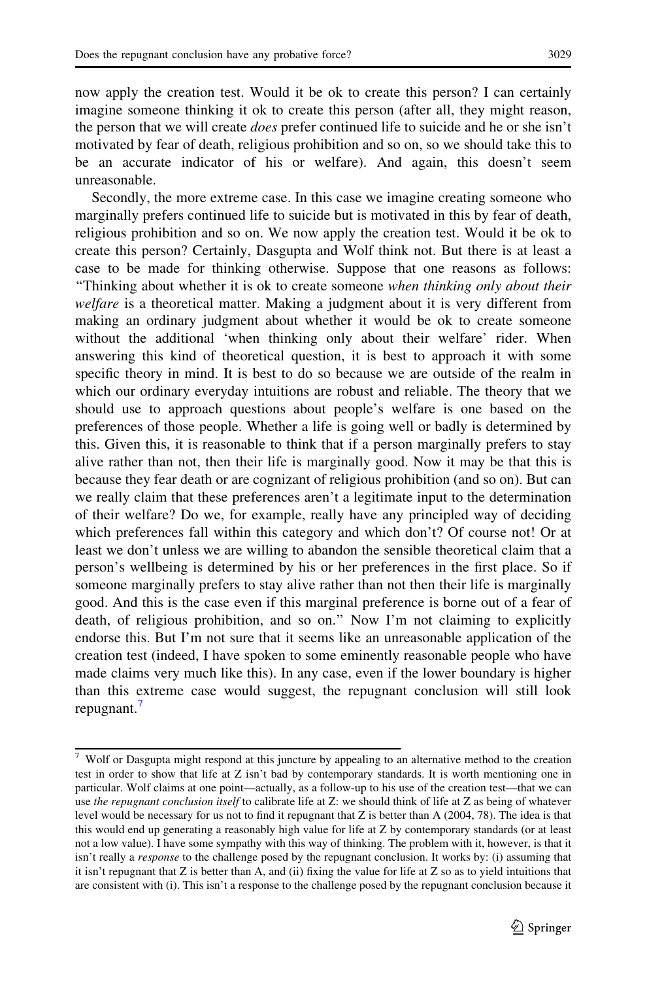now apply the creation test. Would it be ok to create this person? I can certainly imagine someone thinking it ok to create this person (after all, they might reason, the person that we will create *does* prefer continued life to suicide and he or she isn't motivated by fear of death, religious prohibition and so on, so we should take this to be an accurate indicator of his or welfare). And again, this doesn't seem unreasonable.

Secondly, the more extreme case. In this case we imagine creating someone who marginally prefers continued life to suicide but is motivated in this by fear of death, religious prohibition and so on. We now apply the creation test. Would it be ok to create this person? Certainly, Dasgupta and Wolf think not. But there is at least a case to be made for thinking otherwise. Suppose that one reasons as follows: ''Thinking about whether it is ok to create someone when thinking only about their welfare is a theoretical matter. Making a judgment about it is very different from making an ordinary judgment about whether it would be ok to create someone without the additional 'when thinking only about their welfare' rider. When answering this kind of theoretical question, it is best to approach it with some specific theory in mind. It is best to do so because we are outside of the realm in which our ordinary everyday intuitions are robust and reliable. The theory that we should use to approach questions about people's welfare is one based on the preferences of those people. Whether a life is going well or badly is determined by this. Given this, it is reasonable to think that if a person marginally prefers to stay alive rather than not, then their life is marginally good. Now it may be that this is because they fear death or are cognizant of religious prohibition (and so on). But can we really claim that these preferences aren't a legitimate input to the determination of their welfare? Do we, for example, really have any principled way of deciding which preferences fall within this category and which don't? Of course not! Or at least we don't unless we are willing to abandon the sensible theoretical claim that a person's wellbeing is determined by his or her preferences in the first place. So if someone marginally prefers to stay alive rather than not then their life is marginally good. And this is the case even if this marginal preference is borne out of a fear of death, of religious prohibition, and so on.'' Now I'm not claiming to explicitly endorse this. But I'm not sure that it seems like an unreasonable application of the creation test (indeed, I have spoken to some eminently reasonable people who have made claims very much like this). In any case, even if the lower boundary is higher than this extreme case would suggest, the repugnant conclusion will still look repugnant.<sup>7</sup>

<sup>7</sup> Wolf or Dasgupta might respond at this juncture by appealing to an alternative method to the creation test in order to show that life at Z isn't bad by contemporary standards. It is worth mentioning one in particular. Wolf claims at one point—actually, as a follow-up to his use of the creation test—that we can use the repugnant conclusion itself to calibrate life at Z: we should think of life at Z as being of whatever level would be necessary for us not to find it repugnant that Z is better than A (2004, 78). The idea is that this would end up generating a reasonably high value for life at Z by contemporary standards (or at least not a low value). I have some sympathy with this way of thinking. The problem with it, however, is that it isn't really a response to the challenge posed by the repugnant conclusion. It works by: (i) assuming that it isn't repugnant that Z is better than A, and (ii) fixing the value for life at Z so as to yield intuitions that are consistent with (i). This isn't a response to the challenge posed by the repugnant conclusion because it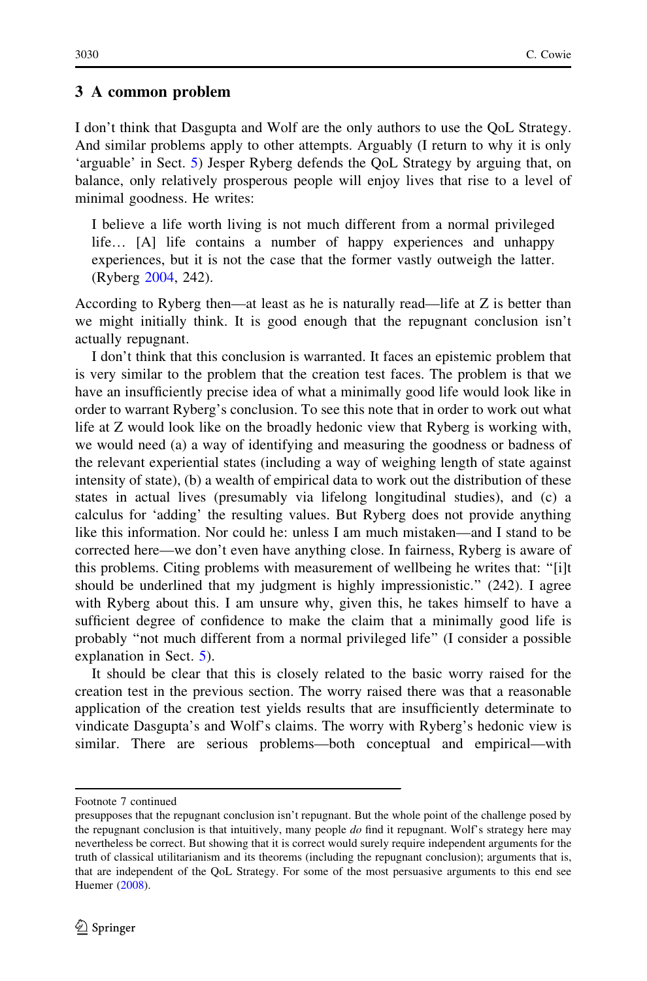#### <span id="page-10-0"></span>3 A common problem

I don't think that Dasgupta and Wolf are the only authors to use the QoL Strategy. And similar problems apply to other attempts. Arguably (I return to why it is only 'arguable' in Sect. [5\)](#page-14-0) Jesper Ryberg defends the QoL Strategy by arguing that, on balance, only relatively prosperous people will enjoy lives that rise to a level of minimal goodness. He writes:

I believe a life worth living is not much different from a normal privileged life… [A] life contains a number of happy experiences and unhappy experiences, but it is not the case that the former vastly outweigh the latter. (Ryberg [2004](#page-19-0), 242).

According to Ryberg then—at least as he is naturally read—life at Z is better than we might initially think. It is good enough that the repugnant conclusion isn't actually repugnant.

I don't think that this conclusion is warranted. It faces an epistemic problem that is very similar to the problem that the creation test faces. The problem is that we have an insufficiently precise idea of what a minimally good life would look like in order to warrant Ryberg's conclusion. To see this note that in order to work out what life at Z would look like on the broadly hedonic view that Ryberg is working with, we would need (a) a way of identifying and measuring the goodness or badness of the relevant experiential states (including a way of weighing length of state against intensity of state), (b) a wealth of empirical data to work out the distribution of these states in actual lives (presumably via lifelong longitudinal studies), and (c) a calculus for 'adding' the resulting values. But Ryberg does not provide anything like this information. Nor could he: unless I am much mistaken—and I stand to be corrected here—we don't even have anything close. In fairness, Ryberg is aware of this problems. Citing problems with measurement of wellbeing he writes that: ''[i]t should be underlined that my judgment is highly impressionistic.'' (242). I agree with Ryberg about this. I am unsure why, given this, he takes himself to have a sufficient degree of confidence to make the claim that a minimally good life is probably ''not much different from a normal privileged life'' (I consider a possible explanation in Sect. [5](#page-14-0)).

It should be clear that this is closely related to the basic worry raised for the creation test in the previous section. The worry raised there was that a reasonable application of the creation test yields results that are insufficiently determinate to vindicate Dasgupta's and Wolf's claims. The worry with Ryberg's hedonic view is similar. There are serious problems—both conceptual and empirical—with

Footnote 7 continued

presupposes that the repugnant conclusion isn't repugnant. But the whole point of the challenge posed by the repugnant conclusion is that intuitively, many people  $do$  find it repugnant. Wolf's strategy here may nevertheless be correct. But showing that it is correct would surely require independent arguments for the truth of classical utilitarianism and its theorems (including the repugnant conclusion); arguments that is, that are independent of the QoL Strategy. For some of the most persuasive arguments to this end see Huemer [\(2008\)](#page-18-0).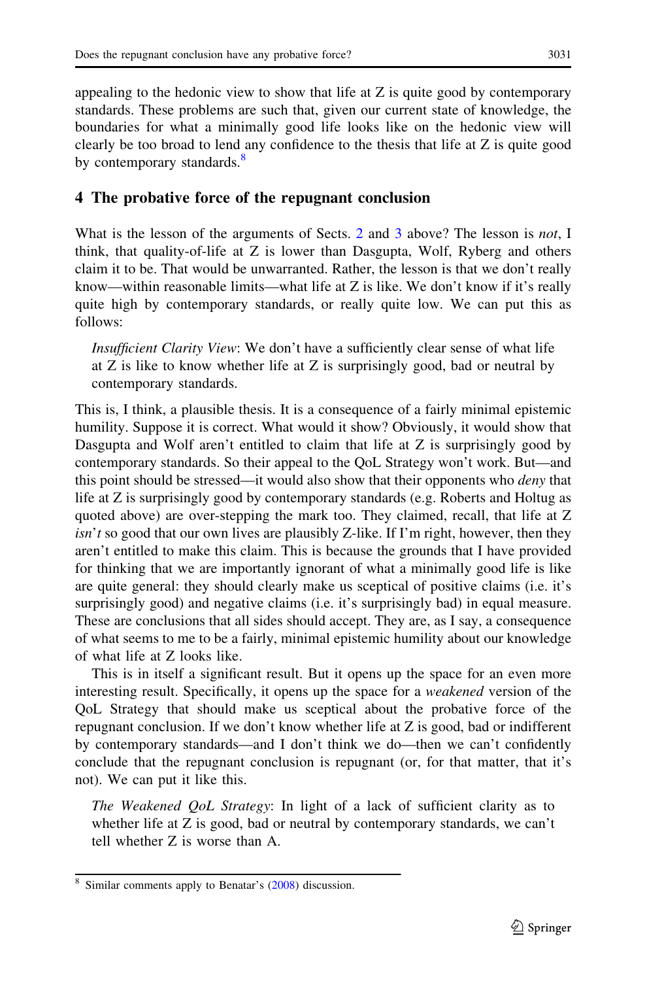<span id="page-11-0"></span>appealing to the hedonic view to show that life at Z is quite good by contemporary standards. These problems are such that, given our current state of knowledge, the boundaries for what a minimally good life looks like on the hedonic view will clearly be too broad to lend any confidence to the thesis that life at Z is quite good by contemporary standards.<sup>8</sup>

#### 4 The probative force of the repugnant conclusion

What is the lesson of the arguments of Sects. [2](#page-5-0) and [3](#page-10-0) above? The lesson is *not*, I think, that quality-of-life at Z is lower than Dasgupta, Wolf, Ryberg and others claim it to be. That would be unwarranted. Rather, the lesson is that we don't really know—within reasonable limits—what life at Z is like. We don't know if it's really quite high by contemporary standards, or really quite low. We can put this as follows:

Insufficient Clarity View: We don't have a sufficiently clear sense of what life at Z is like to know whether life at Z is surprisingly good, bad or neutral by contemporary standards.

This is, I think, a plausible thesis. It is a consequence of a fairly minimal epistemic humility. Suppose it is correct. What would it show? Obviously, it would show that Dasgupta and Wolf aren't entitled to claim that life at Z is surprisingly good by contemporary standards. So their appeal to the QoL Strategy won't work. But—and this point should be stressed—it would also show that their opponents who *deny* that life at Z is surprisingly good by contemporary standards (e.g. Roberts and Holtug as quoted above) are over-stepping the mark too. They claimed, recall, that life at Z  $\sin^2 t$  so good that our own lives are plausibly Z-like. If I'm right, however, then they aren't entitled to make this claim. This is because the grounds that I have provided for thinking that we are importantly ignorant of what a minimally good life is like are quite general: they should clearly make us sceptical of positive claims (i.e. it's surprisingly good) and negative claims (i.e. it's surprisingly bad) in equal measure. These are conclusions that all sides should accept. They are, as I say, a consequence of what seems to me to be a fairly, minimal epistemic humility about our knowledge of what life at Z looks like.

This is in itself a significant result. But it opens up the space for an even more interesting result. Specifically, it opens up the space for a weakened version of the QoL Strategy that should make us sceptical about the probative force of the repugnant conclusion. If we don't know whether life at Z is good, bad or indifferent by contemporary standards—and I don't think we do—then we can't confidently conclude that the repugnant conclusion is repugnant (or, for that matter, that it's not). We can put it like this.

The Weakened QoL Strategy: In light of a lack of sufficient clarity as to whether life at Z is good, bad or neutral by contemporary standards, we can't tell whether Z is worse than A.

Similar comments apply to Benatar's ([2008\)](#page-18-0) discussion.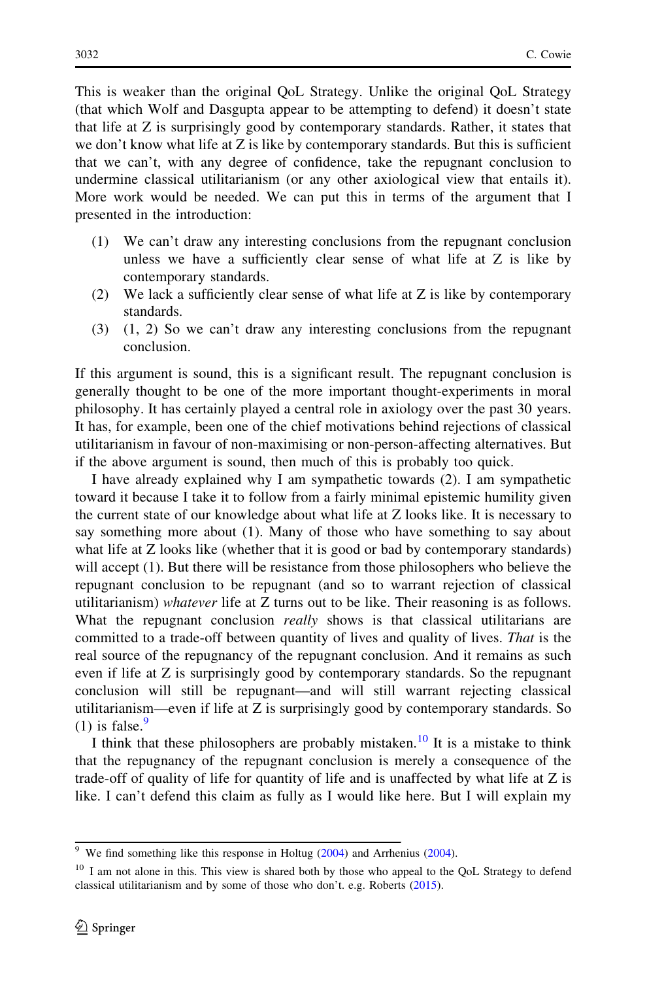This is weaker than the original QoL Strategy. Unlike the original QoL Strategy (that which Wolf and Dasgupta appear to be attempting to defend) it doesn't state that life at Z is surprisingly good by contemporary standards. Rather, it states that we don't know what life at  $Z$  is like by contemporary standards. But this is sufficient that we can't, with any degree of confidence, take the repugnant conclusion to undermine classical utilitarianism (or any other axiological view that entails it). More work would be needed. We can put this in terms of the argument that I presented in the introduction:

- (1) We can't draw any interesting conclusions from the repugnant conclusion unless we have a sufficiently clear sense of what life at Z is like by contemporary standards.
- (2) We lack a sufficiently clear sense of what life at Z is like by contemporary standards.
- (3) (1, 2) So we can't draw any interesting conclusions from the repugnant conclusion.

If this argument is sound, this is a significant result. The repugnant conclusion is generally thought to be one of the more important thought-experiments in moral philosophy. It has certainly played a central role in axiology over the past 30 years. It has, for example, been one of the chief motivations behind rejections of classical utilitarianism in favour of non-maximising or non-person-affecting alternatives. But if the above argument is sound, then much of this is probably too quick.

I have already explained why I am sympathetic towards (2). I am sympathetic toward it because I take it to follow from a fairly minimal epistemic humility given the current state of our knowledge about what life at Z looks like. It is necessary to say something more about (1). Many of those who have something to say about what life at Z looks like (whether that it is good or bad by contemporary standards) will accept (1). But there will be resistance from those philosophers who believe the repugnant conclusion to be repugnant (and so to warrant rejection of classical utilitarianism) whatever life at Z turns out to be like. Their reasoning is as follows. What the repugnant conclusion *really* shows is that classical utilitarians are committed to a trade-off between quantity of lives and quality of lives. That is the real source of the repugnancy of the repugnant conclusion. And it remains as such even if life at Z is surprisingly good by contemporary standards. So the repugnant conclusion will still be repugnant—and will still warrant rejecting classical utilitarianism—even if life at Z is surprisingly good by contemporary standards. So (1) is false. $9$ 

I think that these philosophers are probably mistaken.<sup>10</sup> It is a mistake to think that the repugnancy of the repugnant conclusion is merely a consequence of the trade-off of quality of life for quantity of life and is unaffected by what life at Z is like. I can't defend this claim as fully as I would like here. But I will explain my

<sup>&</sup>lt;sup>9</sup> We find something like this response in Holtug  $(2004)$  $(2004)$  and Arrhenius  $(2004)$  $(2004)$  $(2004)$ .

<sup>&</sup>lt;sup>10</sup> I am not alone in this. This view is shared both by those who appeal to the QoL Strategy to defend classical utilitarianism and by some of those who don't. e.g. Roberts [\(2015\)](#page-19-0).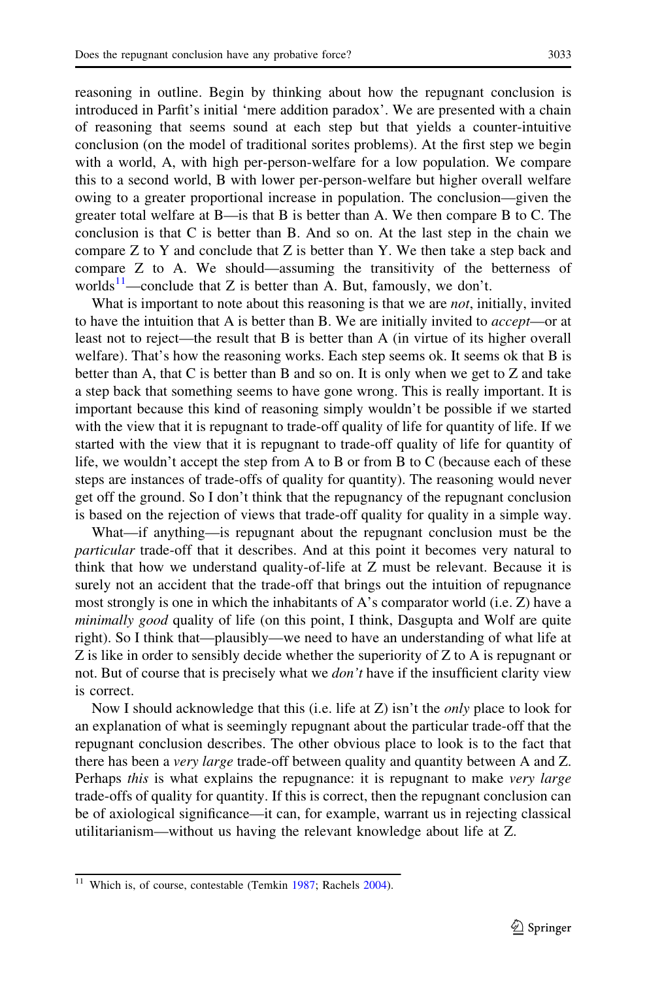reasoning in outline. Begin by thinking about how the repugnant conclusion is introduced in Parfit's initial 'mere addition paradox'. We are presented with a chain of reasoning that seems sound at each step but that yields a counter-intuitive conclusion (on the model of traditional sorites problems). At the first step we begin with a world, A, with high per-person-welfare for a low population. We compare this to a second world, B with lower per-person-welfare but higher overall welfare owing to a greater proportional increase in population. The conclusion—given the greater total welfare at B—is that B is better than A. We then compare B to C. The conclusion is that C is better than B. And so on. At the last step in the chain we compare Z to Y and conclude that Z is better than Y. We then take a step back and compare Z to A. We should—assuming the transitivity of the betterness of worlds<sup>11</sup>—conclude that Z is better than A. But, famously, we don't.

What is important to note about this reasoning is that we are *not*, initially, invited to have the intuition that A is better than B. We are initially invited to *accept*—or at least not to reject—the result that B is better than A (in virtue of its higher overall welfare). That's how the reasoning works. Each step seems ok. It seems ok that B is better than A, that C is better than B and so on. It is only when we get to Z and take a step back that something seems to have gone wrong. This is really important. It is important because this kind of reasoning simply wouldn't be possible if we started with the view that it is repugnant to trade-off quality of life for quantity of life. If we started with the view that it is repugnant to trade-off quality of life for quantity of life, we wouldn't accept the step from A to B or from B to C (because each of these steps are instances of trade-offs of quality for quantity). The reasoning would never get off the ground. So I don't think that the repugnancy of the repugnant conclusion is based on the rejection of views that trade-off quality for quality in a simple way.

What—if anything—is repugnant about the repugnant conclusion must be the particular trade-off that it describes. And at this point it becomes very natural to think that how we understand quality-of-life at Z must be relevant. Because it is surely not an accident that the trade-off that brings out the intuition of repugnance most strongly is one in which the inhabitants of A's comparator world (i.e.  $Z$ ) have a minimally good quality of life (on this point, I think, Dasgupta and Wolf are quite right). So I think that—plausibly—we need to have an understanding of what life at Z is like in order to sensibly decide whether the superiority of Z to A is repugnant or not. But of course that is precisely what we *don't* have if the insufficient clarity view is correct.

Now I should acknowledge that this (i.e. life at Z) isn't the *only* place to look for an explanation of what is seemingly repugnant about the particular trade-off that the repugnant conclusion describes. The other obvious place to look is to the fact that there has been a *very large* trade-off between quality and quantity between A and Z. Perhaps this is what explains the repugnance: it is repugnant to make very large trade-offs of quality for quantity. If this is correct, then the repugnant conclusion can be of axiological significance—it can, for example, warrant us in rejecting classical utilitarianism—without us having the relevant knowledge about life at Z.

<sup>&</sup>lt;sup>11</sup> Which is, of course, contestable (Temkin [1987](#page-19-0); Rachels  $2004$ ).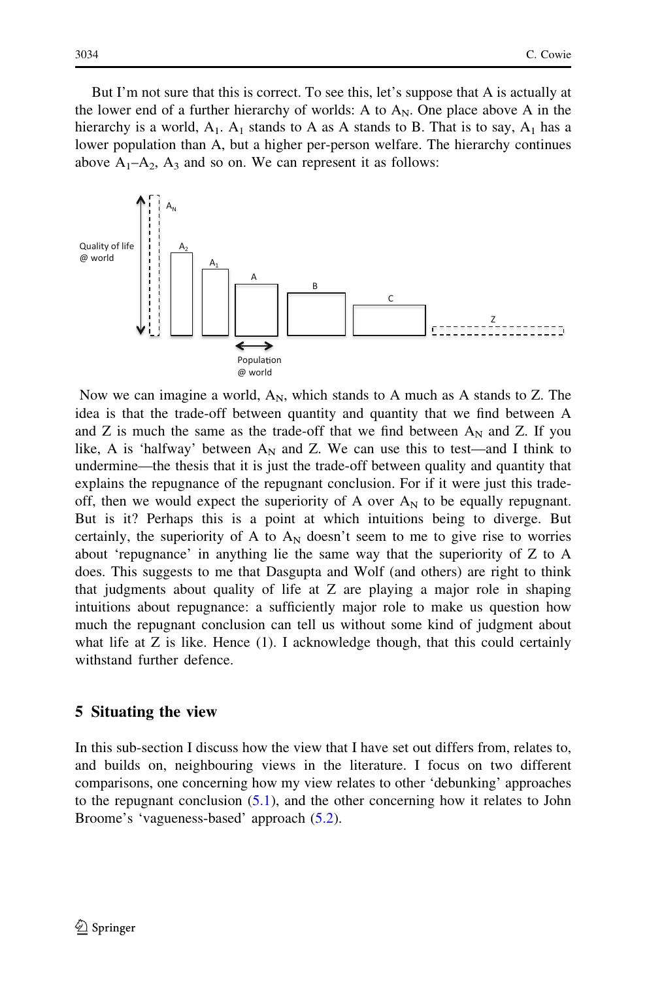<span id="page-14-0"></span>But I'm not sure that this is correct. To see this, let's suppose that A is actually at the lower end of a further hierarchy of worlds: A to  $A_N$ . One place above A in the hierarchy is a world,  $A_1$ .  $A_1$  stands to A as A stands to B. That is to say,  $A_1$  has a lower population than A, but a higher per-person welfare. The hierarchy continues above  $A_1$ – $A_2$ ,  $A_3$  and so on. We can represent it as follows:



Now we can imagine a world,  $A_N$ , which stands to A much as A stands to Z. The idea is that the trade-off between quantity and quantity that we find between A and Z is much the same as the trade-off that we find between  $A_N$  and Z. If you like, A is 'halfway' between  $A_N$  and Z. We can use this to test—and I think to undermine—the thesis that it is just the trade-off between quality and quantity that explains the repugnance of the repugnant conclusion. For if it were just this tradeoff, then we would expect the superiority of A over  $A_N$  to be equally repugnant. But is it? Perhaps this is a point at which intuitions being to diverge. But certainly, the superiority of A to  $A_N$  doesn't seem to me to give rise to worries about 'repugnance' in anything lie the same way that the superiority of Z to A does. This suggests to me that Dasgupta and Wolf (and others) are right to think that judgments about quality of life at Z are playing a major role in shaping intuitions about repugnance: a sufficiently major role to make us question how much the repugnant conclusion can tell us without some kind of judgment about what life at  $Z$  is like. Hence  $(1)$ . I acknowledge though, that this could certainly withstand further defence.

#### 5 Situating the view

In this sub-section I discuss how the view that I have set out differs from, relates to, and builds on, neighbouring views in the literature. I focus on two different comparisons, one concerning how my view relates to other 'debunking' approaches to the repugnant conclusion ([5.1](#page-15-0)), and the other concerning how it relates to John Broome's 'vagueness-based' approach [\(5.2\)](#page-16-0).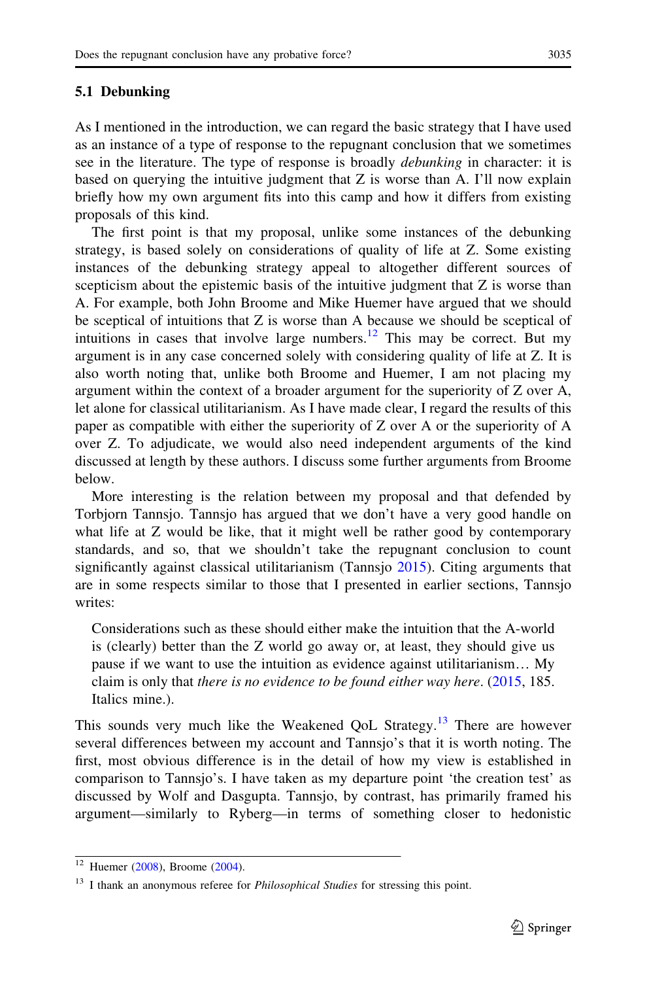#### <span id="page-15-0"></span>5.1 Debunking

As I mentioned in the introduction, we can regard the basic strategy that I have used as an instance of a type of response to the repugnant conclusion that we sometimes see in the literature. The type of response is broadly *debunking* in character: it is based on querying the intuitive judgment that Z is worse than A. I'll now explain briefly how my own argument fits into this camp and how it differs from existing proposals of this kind.

The first point is that my proposal, unlike some instances of the debunking strategy, is based solely on considerations of quality of life at Z. Some existing instances of the debunking strategy appeal to altogether different sources of scepticism about the epistemic basis of the intuitive judgment that Z is worse than A. For example, both John Broome and Mike Huemer have argued that we should be sceptical of intuitions that Z is worse than A because we should be sceptical of intuitions in cases that involve large numbers.<sup>12</sup> This may be correct. But my argument is in any case concerned solely with considering quality of life at Z. It is also worth noting that, unlike both Broome and Huemer, I am not placing my argument within the context of a broader argument for the superiority of Z over A, let alone for classical utilitarianism. As I have made clear, I regard the results of this paper as compatible with either the superiority of Z over A or the superiority of A over Z. To adjudicate, we would also need independent arguments of the kind discussed at length by these authors. I discuss some further arguments from Broome below.

More interesting is the relation between my proposal and that defended by Torbjorn Tannsjo. Tannsjo has argued that we don't have a very good handle on what life at Z would be like, that it might well be rather good by contemporary standards, and so, that we shouldn't take the repugnant conclusion to count significantly against classical utilitarianism (Tannsjo [2015\)](#page-19-0). Citing arguments that are in some respects similar to those that I presented in earlier sections, Tannsjo writes:

Considerations such as these should either make the intuition that the A-world is (clearly) better than the Z world go away or, at least, they should give us pause if we want to use the intuition as evidence against utilitarianism… My claim is only that there is no evidence to be found either way here. ([2015,](#page-19-0) 185. Italics mine.).

This sounds very much like the Weakened QoL Strategy.<sup>13</sup> There are however several differences between my account and Tannsjo's that it is worth noting. The first, most obvious difference is in the detail of how my view is established in comparison to Tannsjo's. I have taken as my departure point 'the creation test' as discussed by Wolf and Dasgupta. Tannsjo, by contrast, has primarily framed his argument—similarly to Ryberg—in terms of something closer to hedonistic

 $12$  Huemer ([2008\)](#page-18-0), Broome [\(2004\)](#page-18-0).

<sup>&</sup>lt;sup>13</sup> I thank an anonymous referee for *Philosophical Studies* for stressing this point.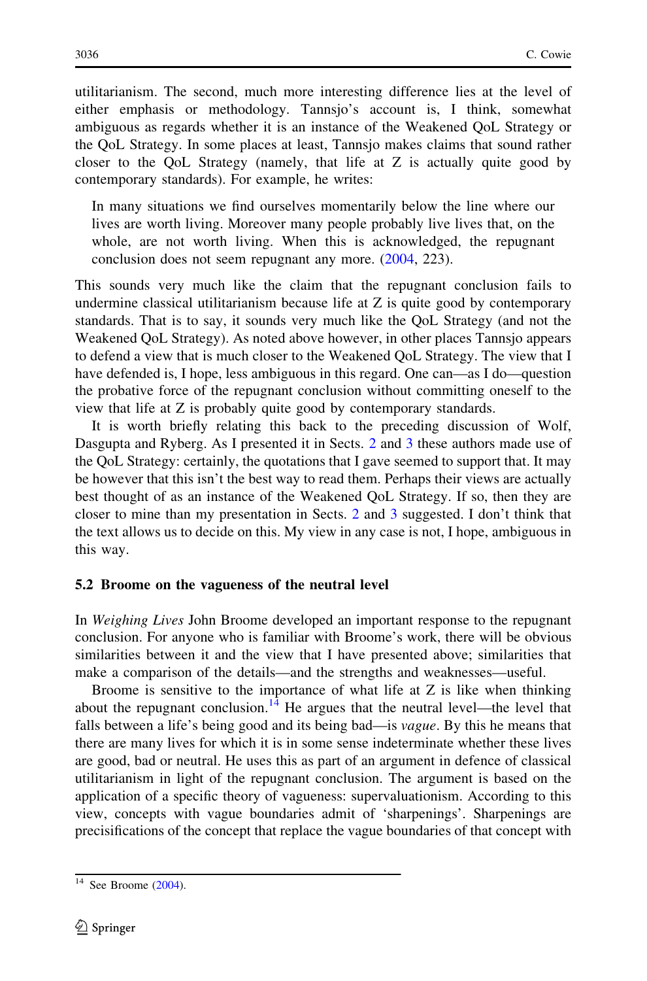<span id="page-16-0"></span>utilitarianism. The second, much more interesting difference lies at the level of either emphasis or methodology. Tannsjo's account is, I think, somewhat ambiguous as regards whether it is an instance of the Weakened QoL Strategy or the QoL Strategy. In some places at least, Tannsjo makes claims that sound rather closer to the QoL Strategy (namely, that life at Z is actually quite good by contemporary standards). For example, he writes:

In many situations we find ourselves momentarily below the line where our lives are worth living. Moreover many people probably live lives that, on the whole, are not worth living. When this is acknowledged, the repugnant conclusion does not seem repugnant any more. ([2004](#page-19-0), 223).

This sounds very much like the claim that the repugnant conclusion fails to undermine classical utilitarianism because life at Z is quite good by contemporary standards. That is to say, it sounds very much like the QoL Strategy (and not the Weakened QoL Strategy). As noted above however, in other places Tannsjo appears to defend a view that is much closer to the Weakened QoL Strategy. The view that I have defended is, I hope, less ambiguous in this regard. One can—as I do—question the probative force of the repugnant conclusion without committing oneself to the view that life at Z is probably quite good by contemporary standards.

It is worth briefly relating this back to the preceding discussion of Wolf, Dasgupta and Ryberg. As I presented it in Sects. [2](#page-5-0) and [3](#page-10-0) these authors made use of the QoL Strategy: certainly, the quotations that I gave seemed to support that. It may be however that this isn't the best way to read them. Perhaps their views are actually best thought of as an instance of the Weakened QoL Strategy. If so, then they are closer to mine than my presentation in Sects. [2](#page-5-0) and [3](#page-10-0) suggested. I don't think that the text allows us to decide on this. My view in any case is not, I hope, ambiguous in this way.

#### 5.2 Broome on the vagueness of the neutral level

In Weighing Lives John Broome developed an important response to the repugnant conclusion. For anyone who is familiar with Broome's work, there will be obvious similarities between it and the view that I have presented above; similarities that make a comparison of the details—and the strengths and weaknesses—useful.

Broome is sensitive to the importance of what life at  $Z$  is like when thinking about the repugnant conclusion.<sup>14</sup> He argues that the neutral level—the level that falls between a life's being good and its being bad—is vague. By this he means that there are many lives for which it is in some sense indeterminate whether these lives are good, bad or neutral. He uses this as part of an argument in defence of classical utilitarianism in light of the repugnant conclusion. The argument is based on the application of a specific theory of vagueness: supervaluationism. According to this view, concepts with vague boundaries admit of 'sharpenings'. Sharpenings are precisifications of the concept that replace the vague boundaries of that concept with

 $14$  See Broome [\(2004](#page-18-0)).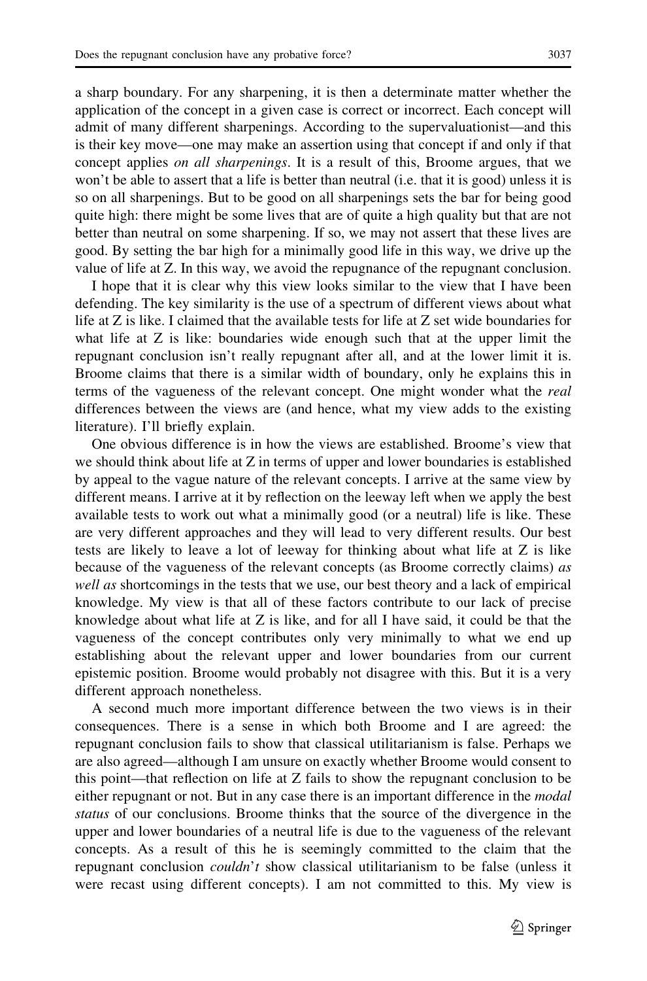a sharp boundary. For any sharpening, it is then a determinate matter whether the application of the concept in a given case is correct or incorrect. Each concept will admit of many different sharpenings. According to the supervaluationist—and this is their key move—one may make an assertion using that concept if and only if that concept applies on all sharpenings. It is a result of this, Broome argues, that we won't be able to assert that a life is better than neutral (i.e. that it is good) unless it is so on all sharpenings. But to be good on all sharpenings sets the bar for being good quite high: there might be some lives that are of quite a high quality but that are not better than neutral on some sharpening. If so, we may not assert that these lives are good. By setting the bar high for a minimally good life in this way, we drive up the value of life at Z. In this way, we avoid the repugnance of the repugnant conclusion.

I hope that it is clear why this view looks similar to the view that I have been defending. The key similarity is the use of a spectrum of different views about what life at Z is like. I claimed that the available tests for life at Z set wide boundaries for what life at Z is like: boundaries wide enough such that at the upper limit the repugnant conclusion isn't really repugnant after all, and at the lower limit it is. Broome claims that there is a similar width of boundary, only he explains this in terms of the vagueness of the relevant concept. One might wonder what the real differences between the views are (and hence, what my view adds to the existing literature). I'll briefly explain.

One obvious difference is in how the views are established. Broome's view that we should think about life at Z in terms of upper and lower boundaries is established by appeal to the vague nature of the relevant concepts. I arrive at the same view by different means. I arrive at it by reflection on the leeway left when we apply the best available tests to work out what a minimally good (or a neutral) life is like. These are very different approaches and they will lead to very different results. Our best tests are likely to leave a lot of leeway for thinking about what life at Z is like because of the vagueness of the relevant concepts (as Broome correctly claims) as well as shortcomings in the tests that we use, our best theory and a lack of empirical knowledge. My view is that all of these factors contribute to our lack of precise knowledge about what life at Z is like, and for all I have said, it could be that the vagueness of the concept contributes only very minimally to what we end up establishing about the relevant upper and lower boundaries from our current epistemic position. Broome would probably not disagree with this. But it is a very different approach nonetheless.

A second much more important difference between the two views is in their consequences. There is a sense in which both Broome and I are agreed: the repugnant conclusion fails to show that classical utilitarianism is false. Perhaps we are also agreed—although I am unsure on exactly whether Broome would consent to this point—that reflection on life at Z fails to show the repugnant conclusion to be either repugnant or not. But in any case there is an important difference in the *modal* status of our conclusions. Broome thinks that the source of the divergence in the upper and lower boundaries of a neutral life is due to the vagueness of the relevant concepts. As a result of this he is seemingly committed to the claim that the repugnant conclusion *couldn't* show classical utilitarianism to be false (unless it were recast using different concepts). I am not committed to this. My view is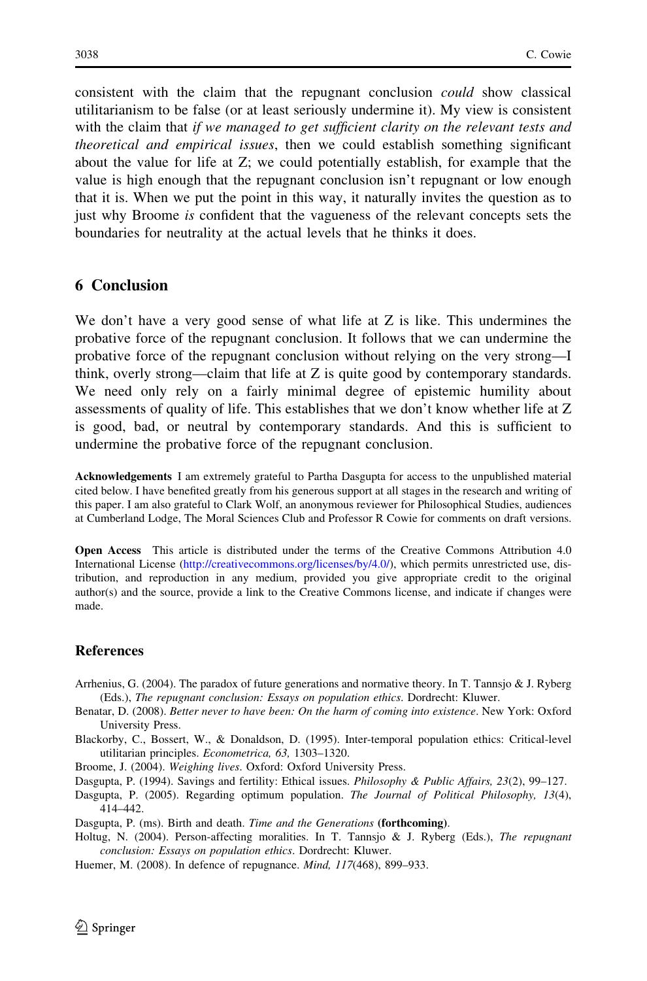<span id="page-18-0"></span>consistent with the claim that the repugnant conclusion could show classical utilitarianism to be false (or at least seriously undermine it). My view is consistent with the claim that if we managed to get sufficient clarity on the relevant tests and theoretical and empirical issues, then we could establish something significant about the value for life at Z; we could potentially establish, for example that the value is high enough that the repugnant conclusion isn't repugnant or low enough that it is. When we put the point in this way, it naturally invites the question as to just why Broome *is* confident that the vagueness of the relevant concepts sets the boundaries for neutrality at the actual levels that he thinks it does.

#### 6 Conclusion

We don't have a very good sense of what life at Z is like. This undermines the probative force of the repugnant conclusion. It follows that we can undermine the probative force of the repugnant conclusion without relying on the very strong—I think, overly strong—claim that life at Z is quite good by contemporary standards. We need only rely on a fairly minimal degree of epistemic humility about assessments of quality of life. This establishes that we don't know whether life at Z is good, bad, or neutral by contemporary standards. And this is sufficient to undermine the probative force of the repugnant conclusion.

Acknowledgements I am extremely grateful to Partha Dasgupta for access to the unpublished material cited below. I have benefited greatly from his generous support at all stages in the research and writing of this paper. I am also grateful to Clark Wolf, an anonymous reviewer for Philosophical Studies, audiences at Cumberland Lodge, The Moral Sciences Club and Professor R Cowie for comments on draft versions.

Open Access This article is distributed under the terms of the Creative Commons Attribution 4.0 International License ([http://creativecommons.org/licenses/by/4.0/\)](http://creativecommons.org/licenses/by/4.0/), which permits unrestricted use, distribution, and reproduction in any medium, provided you give appropriate credit to the original author(s) and the source, provide a link to the Creative Commons license, and indicate if changes were made.

#### **References**

- Arrhenius, G. (2004). The paradox of future generations and normative theory. In T. Tannsjo & J. Ryberg (Eds.), The repugnant conclusion: Essays on population ethics. Dordrecht: Kluwer.
- Benatar, D. (2008). Better never to have been: On the harm of coming into existence. New York: Oxford University Press.
- Blackorby, C., Bossert, W., & Donaldson, D. (1995). Inter-temporal population ethics: Critical-level utilitarian principles. Econometrica, 63, 1303–1320.
- Broome, J. (2004). Weighing lives. Oxford: Oxford University Press.
- Dasgupta, P. (1994). Savings and fertility: Ethical issues. *Philosophy & Public Affairs*, 23(2), 99–127.
- Dasgupta, P. (2005). Regarding optimum population. The Journal of Political Philosophy, 13(4), 414–442.

Dasgupta, P. (ms). Birth and death. Time and the Generations (forthcoming).

- Holtug, N. (2004). Person-affecting moralities. In T. Tannsjo & J. Ryberg (Eds.), The repugnant conclusion: Essays on population ethics. Dordrecht: Kluwer.
- Huemer, M. (2008). In defence of repugnance. Mind, 117(468), 899–933.